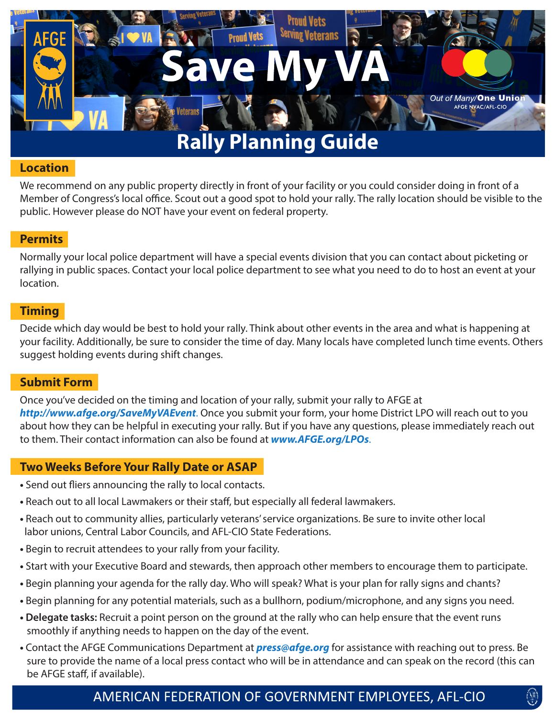

# **Rally Planning Guide**

#### **Location**

We recommend on any public property directly in front of your facility or you could consider doing in front of a Member of Congress's local office. Scout out a good spot to hold your rally. The rally location should be visible to the public. However please do NOT have your event on federal property.

## **Permits**

Normally your local police department will have a special events division that you can contact about picketing or rallying in public spaces. Contact your local police department to see what you need to do to host an event at your location.

## **Timing**

Decide which day would be best to hold your rally. Think about other events in the area and what is happening at your facility. Additionally, be sure to consider the time of day. Many locals have completed lunch time events. Others suggest holding events during shift changes.

## **Submit Form**

Once you've decided on the timing and location of your rally, submit your rally to AFGE at *<http://www.afge.org/SaveMyVAEvent>*. Once you submit your form, your home District LPO will reach out to you about how they can be helpful in executing your rally. But if you have any questions, please immediately reach out to them. Their contact information can also be found at *[www.AFGE.org/LPOs](http://www.AFGE.org/LPOs)*.

## **Two Weeks Before Your Rally Date or ASAP**

- Send out fliers announcing the rally to local contacts.
- Reach out to all local Lawmakers or their staff, but especially all federal lawmakers.
- Reach out to community allies, particularly veterans' service organizations. Be sure to invite other local labor unions, Central Labor Councils, and AFL-CIO State Federations.
- Begin to recruit attendees to your rally from your facility.
- Start with your Executive Board and stewards, then approach other members to encourage them to participate.
- Begin planning your agenda for the rally day. Who will speak? What is your plan for rally signs and chants?
- Begin planning for any potential materials, such as a bullhorn, podium/microphone, and any signs you need.
- **Delegate tasks:** Recruit a point person on the ground at the rally who can help ensure that the event runs smoothly if anything needs to happen on the day of the event.
- Contact the AFGE Communications Department at *[press@afge.org](mailto:press%40afge.org?subject=)* for assistance with reaching out to press. Be sure to provide the name of a local press contact who will be in attendance and can speak on the record (this can be AFGE staff, if available).